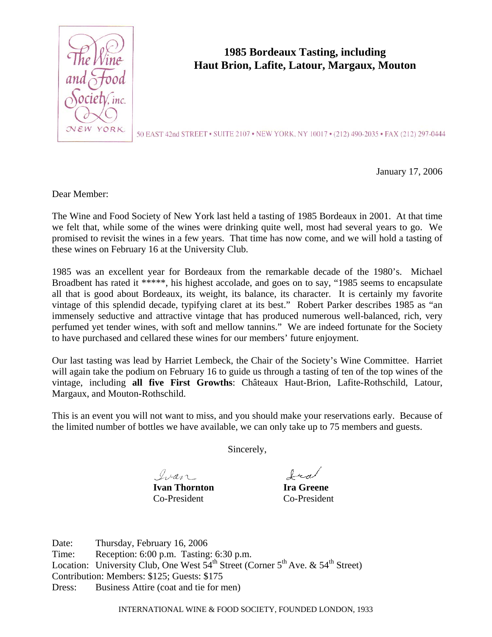

## **1985 Bordeaux Tasting, including Haut Brion, Lafite, Latour, Margaux, Mouton**

50 EAST 42nd STREET . SUITE 2107 . NEW YORK, NY 10017 . (212) 490-2035 . FAX (212) 297-0444

January 17, 2006

Dear Member:

The Wine and Food Society of New York last held a tasting of 1985 Bordeaux in 2001. At that time we felt that, while some of the wines were drinking quite well, most had several years to go. We promised to revisit the wines in a few years. That time has now come, and we will hold a tasting of these wines on February 16 at the University Club.

1985 was an excellent year for Bordeaux from the remarkable decade of the 1980's. Michael Broadbent has rated it \*\*\*\*\*, his highest accolade, and goes on to say, "1985 seems to encapsulate all that is good about Bordeaux, its weight, its balance, its character. It is certainly my favorite vintage of this splendid decade, typifying claret at its best." Robert Parker describes 1985 as "an immensely seductive and attractive vintage that has produced numerous well-balanced, rich, very perfumed yet tender wines, with soft and mellow tannins." We are indeed fortunate for the Society to have purchased and cellared these wines for our members' future enjoyment.

Our last tasting was lead by Harriet Lembeck, the Chair of the Society's Wine Committee. Harriet will again take the podium on February 16 to guide us through a tasting of ten of the top wines of the vintage, including **all five First Growths**: Châteaux Haut-Brion, Lafite-Rothschild, Latour, Margaux, and Mouton-Rothschild.

This is an event you will not want to miss, and you should make your reservations early. Because of the limited number of bottles we have available, we can only take up to 75 members and guests.

Sincerely,

Ivan

**Ivan Thornton Ira Greene** Co-President Co-President

Ira

Date: Thursday, February 16, 2006 Time: Reception: 6:00 p.m. Tasting: 6:30 p.m. Location: University Club, One West  $54<sup>th</sup>$  Street (Corner  $5<sup>th</sup>$  Ave. &  $54<sup>th</sup>$  Street) Contribution: Members: \$125; Guests: \$175 Dress: Business Attire (coat and tie for men)